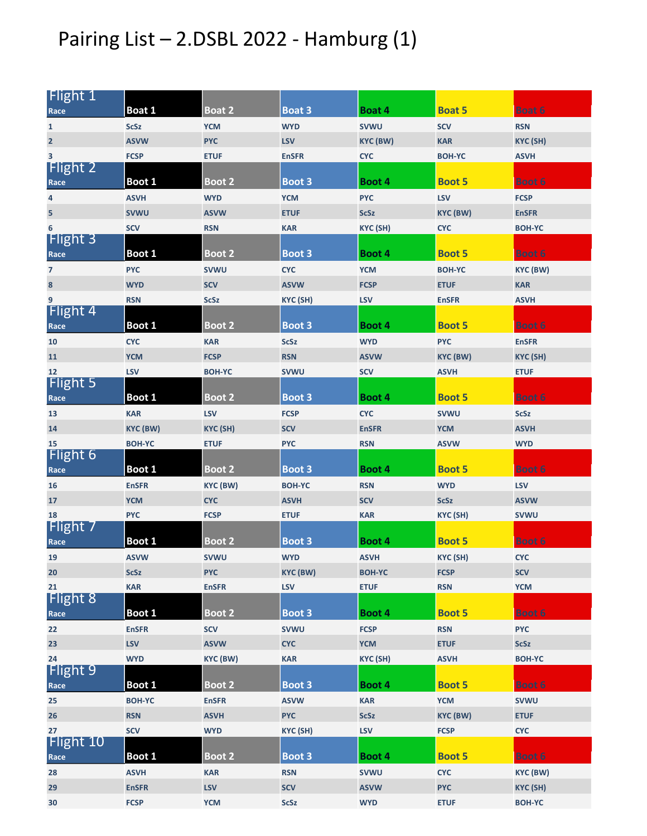## Pairing List – 2.DSBL 2022 - Hamburg (1)

| Flight 1                 |                 |               |               |                 |                 |                 |
|--------------------------|-----------------|---------------|---------------|-----------------|-----------------|-----------------|
| Race                     | Boat 1          | <b>Boat 2</b> | <b>Boat 3</b> | Boat 4          | <b>Boat 5</b>   | <b>Boat 6</b>   |
| 1                        | <b>ScSz</b>     | <b>YCM</b>    | <b>WYD</b>    | <b>SVWU</b>     | <b>SCV</b>      | <b>RSN</b>      |
| $\overline{2}$           | <b>ASVW</b>     | <b>PYC</b>    | <b>LSV</b>    | <b>KYC (BW)</b> | <b>KAR</b>      | <b>KYC (SH)</b> |
| 3                        | <b>FCSP</b>     | <b>ETUF</b>   | <b>EnSFR</b>  | <b>CYC</b>      | <b>BOH-YC</b>   | <b>ASVH</b>     |
| <b>Flight 2</b>          |                 |               |               |                 |                 |                 |
| Race                     | Boot 1          | <b>Boot 2</b> | Boot 3        | Boot 4          | <b>Boot 5</b>   | <b>Boot 6</b>   |
| 4                        | <b>ASVH</b>     | <b>WYD</b>    | <b>YCM</b>    | <b>PYC</b>      | <b>LSV</b>      | <b>FCSP</b>     |
| 5                        | <b>SVWU</b>     | <b>ASVW</b>   | <b>ETUF</b>   | <b>ScSz</b>     | <b>KYC (BW)</b> | <b>EnSFR</b>    |
| 6                        | <b>SCV</b>      | <b>RSN</b>    | <b>KAR</b>    | KYC (SH)        | <b>CYC</b>      | <b>BOH-YC</b>   |
| Flight 3                 |                 |               |               |                 |                 |                 |
| Race                     | Boot 1          | <b>Boot 2</b> | Boot 3        | Boot 4          | <b>Boot 5</b>   | Boot 6          |
| $\overline{\phantom{a}}$ | <b>PYC</b>      | <b>SVWU</b>   | <b>CYC</b>    | <b>YCM</b>      | <b>BOH-YC</b>   | <b>KYC (BW)</b> |
| 8                        | <b>WYD</b>      | <b>SCV</b>    | <b>ASVW</b>   | <b>FCSP</b>     | <b>ETUF</b>     | <b>KAR</b>      |
| 9                        | <b>RSN</b>      | <b>ScSz</b>   | KYC (SH)      | <b>LSV</b>      | <b>EnSFR</b>    | <b>ASVH</b>     |
| Flight 4                 |                 |               |               |                 |                 |                 |
| Race                     | Boot 1          | <b>Boot 2</b> | Boot 3        | Boot 4          | <b>Boot 5</b>   | <b>Boot 6</b>   |
| 10                       | <b>CYC</b>      | <b>KAR</b>    | <b>ScSz</b>   | <b>WYD</b>      | <b>PYC</b>      | <b>EnSFR</b>    |
| 11                       | <b>YCM</b>      | <b>FCSP</b>   | <b>RSN</b>    | <b>ASVW</b>     | <b>KYC (BW)</b> | <b>KYC (SH)</b> |
| 12<br><b>Flight 5</b>    | <b>LSV</b>      | <b>BOH-YC</b> | <b>SVWU</b>   | <b>SCV</b>      | <b>ASVH</b>     | <b>ETUF</b>     |
| Race                     | Boot 1          | <b>Boot 2</b> | Boot 3        | Boot 4          | <b>Boot 5</b>   | <b>Boot 6</b>   |
| 13                       | <b>KAR</b>      | <b>LSV</b>    | <b>FCSP</b>   | <b>CYC</b>      | <b>SVWU</b>     | <b>ScSz</b>     |
| 14                       | <b>KYC (BW)</b> | KYC (SH)      | <b>SCV</b>    | <b>EnSFR</b>    | <b>YCM</b>      | <b>ASVH</b>     |
| 15                       | <b>BOH-YC</b>   | <b>ETUF</b>   | <b>PYC</b>    | <b>RSN</b>      | <b>ASVW</b>     | <b>WYD</b>      |
| <b>Flight 6</b>          |                 |               |               |                 |                 |                 |
| Race                     | Boot 1          | <b>Boot 2</b> | Boot 3        | Boot 4          | <b>Boot 5</b>   | <b>Boot 6</b>   |
| 16                       | <b>EnSFR</b>    | KYC (BW)      | <b>BOH-YC</b> | <b>RSN</b>      | <b>WYD</b>      | <b>LSV</b>      |
| 17                       | <b>YCM</b>      | <b>CYC</b>    | <b>ASVH</b>   | <b>SCV</b>      | <b>ScSz</b>     | <b>ASVW</b>     |
| 18                       | <b>PYC</b>      | <b>FCSP</b>   | <b>ETUF</b>   | <b>KAR</b>      | KYC (SH)        | <b>SVWU</b>     |
| Flight 7                 |                 |               |               |                 |                 |                 |
| Race                     | Boot 1          | Boot 2        | Boot 3        | Boot 4          | <b>Boot 5</b>   | <b>Boot 6</b>   |
| 19                       | <b>ASVW</b>     | <b>SVWU</b>   | <b>WYD</b>    | <b>ASVH</b>     | KYC (SH)        | <b>CYC</b>      |
| 20                       | <b>ScSz</b>     | <b>PYC</b>    | KYC (BW)      | <b>BOH-YC</b>   | <b>FCSP</b>     | <b>SCV</b>      |
| 21                       | <b>KAR</b>      | <b>EnSFR</b>  | <b>LSV</b>    | <b>ETUF</b>     | <b>RSN</b>      | <b>YCM</b>      |
| <b>Flight 8</b>          |                 |               |               |                 |                 |                 |
| Race                     | Boot 1          | <b>Boot 2</b> | Boot 3        | Boot 4          | <b>Boot 5</b>   | <b>Boot 6</b>   |
| 22                       | <b>EnSFR</b>    | <b>SCV</b>    | <b>SVWU</b>   | <b>FCSP</b>     | <b>RSN</b>      | <b>PYC</b>      |
| 23                       | <b>LSV</b>      | <b>ASVW</b>   | <b>CYC</b>    | <b>YCM</b>      | <b>ETUF</b>     | <b>ScSz</b>     |
| 24                       | <b>WYD</b>      | KYC (BW)      | <b>KAR</b>    | KYC (SH)        | <b>ASVH</b>     | <b>BOH-YC</b>   |
| <b>Flight 9</b>          |                 |               |               |                 |                 |                 |
| Race                     | Boot 1          | Boot 2        | Boot 3        | Boot 4          | <b>Boot 5</b>   | <b>Boot 6</b>   |
| 25                       | <b>BOH-YC</b>   | <b>EnSFR</b>  | <b>ASVW</b>   | <b>KAR</b>      | <b>YCM</b>      | <b>SVWU</b>     |
| 26                       | <b>RSN</b>      | <b>ASVH</b>   | <b>PYC</b>    | <b>ScSz</b>     | <b>KYC (BW)</b> | <b>ETUF</b>     |
| 27<br>Flight 10          | <b>SCV</b>      | <b>WYD</b>    | KYC (SH)      | <b>LSV</b>      | <b>FCSP</b>     | <b>CYC</b>      |
| Race                     | Boot 1          | <b>Boot 2</b> | Boot 3        | Boot 4          | <b>Boot 5</b>   | Boot 6          |
|                          |                 |               |               |                 |                 |                 |
| 28                       | <b>ASVH</b>     | <b>KAR</b>    | <b>RSN</b>    | <b>SVWU</b>     | <b>CYC</b>      | KYC (BW)        |
| 29                       | <b>EnSFR</b>    | <b>LSV</b>    | <b>SCV</b>    | <b>ASVW</b>     | <b>PYC</b>      | <b>KYC (SH)</b> |
| 30                       | <b>FCSP</b>     | <b>YCM</b>    | <b>ScSz</b>   | <b>WYD</b>      | <b>ETUF</b>     | <b>BOH-YC</b>   |